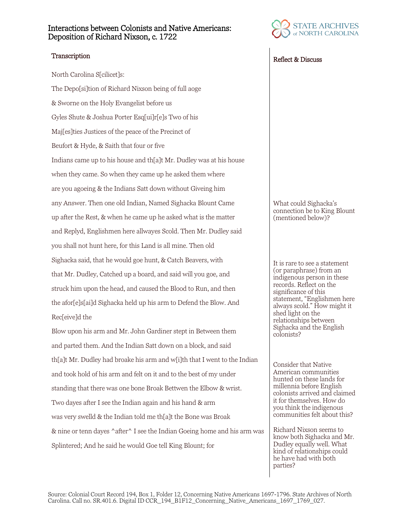## Interactions between Colonists and Native Americans: Deposition of Richard Nixson, c. 1722

North Carolina S[cilicet]s: The Depo[si]tion of Richard Nixson being of full aoge & Sworne on the Holy Evangelist before us Gyles Shute & Joshua Porter Esq[ui]r[e]s Two of his Maj[es]ties Justices of the peace of the Precinct of Beufort & Hyde, & Saith that four or five Indians came up to his house and th[a]t Mr. Dudley was at his house when they came. So when they came up he asked them where are you agoeing & the Indians Satt down without Giveing him any Answer. Then one old Indian, Named Sighacka Blount Came up after the Rest, & when he came up he asked what is the matter and Replyd, Englishmen here allwayes Scold. Then Mr. Dudley said you shall not hunt here, for this Land is all mine. Then old Sighacka said, that he would goe hunt, & Catch Beavers, with that Mr. Dudley, Catched up a board, and said will you goe, and struck him upon the head, and caused the Blood to Run, and then the afor[e]s[ai]d Sighacka held up his arm to Defend the Blow. And Rec[eive]d the

Blow upon his arm and Mr. John Gardiner stept in Between them and parted them. And the Indian Satt down on a block, and said th[a]t Mr. Dudley had broake his arm and w[i]th that I went to the Indian and took hold of his arm and felt on it and to the best of my under standing that there was one bone Broak Bettwen the Elbow & wrist. Two dayes after I see the Indian again and his hand & arm was very swelld & the Indian told me th[a]t the Bone was Broak & nine or tenn dayes  $\text{After}^{\wedge}$  I see the Indian Goeing home and his arm was Splintered; And he said he would Goe tell King Blount; for



## Transcription Reflect & Discuss

What could Sighacka's connection be to King Blount (mentioned below)?

It is rare to see a statement (or paraphrase) from an indigenous person in these records. Reflect on the significance of this statement, "Englishmen here always scold." How might it shed light on the relationships between Sighacka and the English colonists?

Consider that Native American communities hunted on these lands for millennia before English colonists arrived and claimed it for themselves. How do you think the indigenous communities felt about this?

Richard Nixson seems to know both Sighacka and Mr. Dudley equally well. What kind of relationships could he have had with both parties?